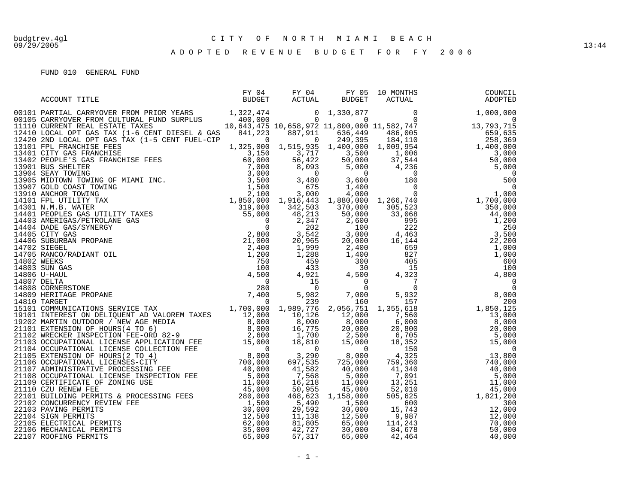09/29/2005 13:44

## A D O P T E D R E V E N U E B U D G E T F O R F Y 2 0 0 6

| ACCOUNT TITLE | $\begin{tabular}{lllllllll} \tt FY & 04 & \tt FY & 05 & 10 MOMTHS \\ \tt BUDGET & \tt ACTUAL & \tt BUDGET & \tt ACTUAL \\ \end{tabular}$ | LU MONTHS<br>ACTUAL | COUNCIL<br>ADOPTED |
|---------------|------------------------------------------------------------------------------------------------------------------------------------------|---------------------|--------------------|
|               |                                                                                                                                          |                     |                    |
|               |                                                                                                                                          |                     |                    |
|               |                                                                                                                                          |                     |                    |
|               |                                                                                                                                          |                     |                    |
|               |                                                                                                                                          |                     |                    |
|               |                                                                                                                                          |                     |                    |
|               |                                                                                                                                          |                     |                    |
|               |                                                                                                                                          |                     |                    |
|               |                                                                                                                                          |                     |                    |
|               |                                                                                                                                          |                     |                    |
|               |                                                                                                                                          |                     |                    |
|               |                                                                                                                                          |                     |                    |
|               |                                                                                                                                          |                     |                    |
|               |                                                                                                                                          |                     |                    |
|               |                                                                                                                                          |                     |                    |
|               |                                                                                                                                          |                     |                    |
|               |                                                                                                                                          |                     |                    |
|               |                                                                                                                                          |                     |                    |
|               |                                                                                                                                          |                     |                    |
|               |                                                                                                                                          |                     |                    |
|               |                                                                                                                                          |                     |                    |
|               |                                                                                                                                          |                     |                    |
|               |                                                                                                                                          |                     |                    |
|               |                                                                                                                                          |                     |                    |
|               |                                                                                                                                          |                     |                    |
|               |                                                                                                                                          |                     |                    |
|               |                                                                                                                                          |                     |                    |
|               |                                                                                                                                          |                     |                    |
|               |                                                                                                                                          |                     |                    |
|               |                                                                                                                                          |                     |                    |
|               |                                                                                                                                          |                     |                    |
|               |                                                                                                                                          |                     |                    |
|               |                                                                                                                                          |                     |                    |
|               |                                                                                                                                          |                     |                    |
|               |                                                                                                                                          |                     |                    |
|               |                                                                                                                                          |                     |                    |
|               |                                                                                                                                          |                     |                    |
|               |                                                                                                                                          |                     |                    |
|               |                                                                                                                                          |                     |                    |
|               |                                                                                                                                          |                     |                    |
|               |                                                                                                                                          |                     |                    |
|               |                                                                                                                                          |                     |                    |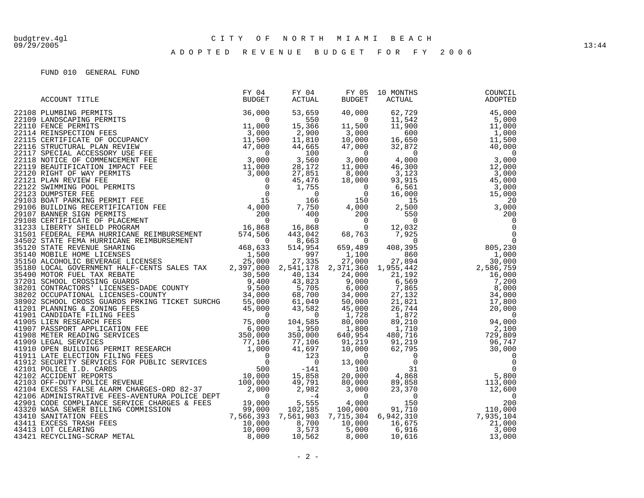## A D O P T E D R E V E N U E B U D G E T F O R F Y 2 0 0 6

| ACCOUNT TITLE<br>22100 The Matter of the Matthews of the Matthews of the Matthews of the Matthews of the Matthews of the Matthews of the Matthews of the Matthews of the Matthews of the Matthews of the Matthews of the Matthews of the Matth |  |  | COUNCIL<br>ADOPTED |
|------------------------------------------------------------------------------------------------------------------------------------------------------------------------------------------------------------------------------------------------|--|--|--------------------|
|                                                                                                                                                                                                                                                |  |  |                    |
|                                                                                                                                                                                                                                                |  |  |                    |
|                                                                                                                                                                                                                                                |  |  |                    |
|                                                                                                                                                                                                                                                |  |  |                    |
|                                                                                                                                                                                                                                                |  |  |                    |
|                                                                                                                                                                                                                                                |  |  |                    |
|                                                                                                                                                                                                                                                |  |  |                    |
|                                                                                                                                                                                                                                                |  |  |                    |
|                                                                                                                                                                                                                                                |  |  |                    |
|                                                                                                                                                                                                                                                |  |  |                    |
|                                                                                                                                                                                                                                                |  |  |                    |
|                                                                                                                                                                                                                                                |  |  |                    |
|                                                                                                                                                                                                                                                |  |  |                    |
|                                                                                                                                                                                                                                                |  |  |                    |
|                                                                                                                                                                                                                                                |  |  |                    |
|                                                                                                                                                                                                                                                |  |  |                    |
|                                                                                                                                                                                                                                                |  |  |                    |
|                                                                                                                                                                                                                                                |  |  |                    |
|                                                                                                                                                                                                                                                |  |  |                    |
|                                                                                                                                                                                                                                                |  |  |                    |
|                                                                                                                                                                                                                                                |  |  |                    |
|                                                                                                                                                                                                                                                |  |  |                    |
|                                                                                                                                                                                                                                                |  |  |                    |
|                                                                                                                                                                                                                                                |  |  |                    |
|                                                                                                                                                                                                                                                |  |  |                    |
|                                                                                                                                                                                                                                                |  |  |                    |
|                                                                                                                                                                                                                                                |  |  |                    |
|                                                                                                                                                                                                                                                |  |  |                    |
|                                                                                                                                                                                                                                                |  |  |                    |
|                                                                                                                                                                                                                                                |  |  |                    |
|                                                                                                                                                                                                                                                |  |  |                    |
|                                                                                                                                                                                                                                                |  |  |                    |
|                                                                                                                                                                                                                                                |  |  |                    |
|                                                                                                                                                                                                                                                |  |  |                    |
|                                                                                                                                                                                                                                                |  |  |                    |
|                                                                                                                                                                                                                                                |  |  |                    |
|                                                                                                                                                                                                                                                |  |  |                    |
|                                                                                                                                                                                                                                                |  |  |                    |
|                                                                                                                                                                                                                                                |  |  |                    |
|                                                                                                                                                                                                                                                |  |  |                    |
|                                                                                                                                                                                                                                                |  |  |                    |
|                                                                                                                                                                                                                                                |  |  |                    |
|                                                                                                                                                                                                                                                |  |  |                    |
|                                                                                                                                                                                                                                                |  |  |                    |
|                                                                                                                                                                                                                                                |  |  |                    |
|                                                                                                                                                                                                                                                |  |  |                    |
|                                                                                                                                                                                                                                                |  |  |                    |
|                                                                                                                                                                                                                                                |  |  |                    |
|                                                                                                                                                                                                                                                |  |  |                    |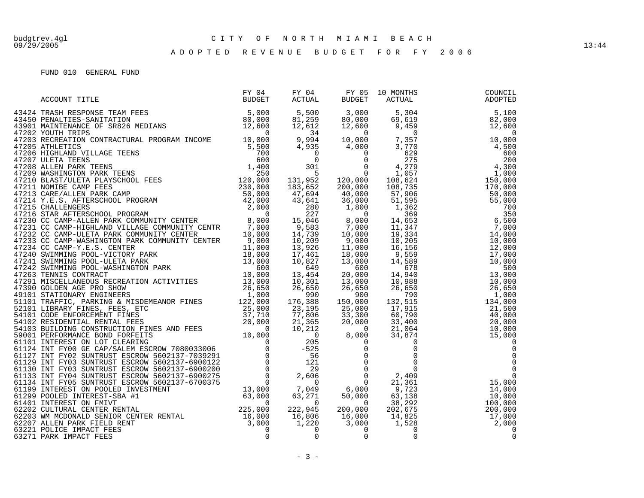## A D O P T E D R E V E N U E B U D G E T F O R F Y 2 0 0 6